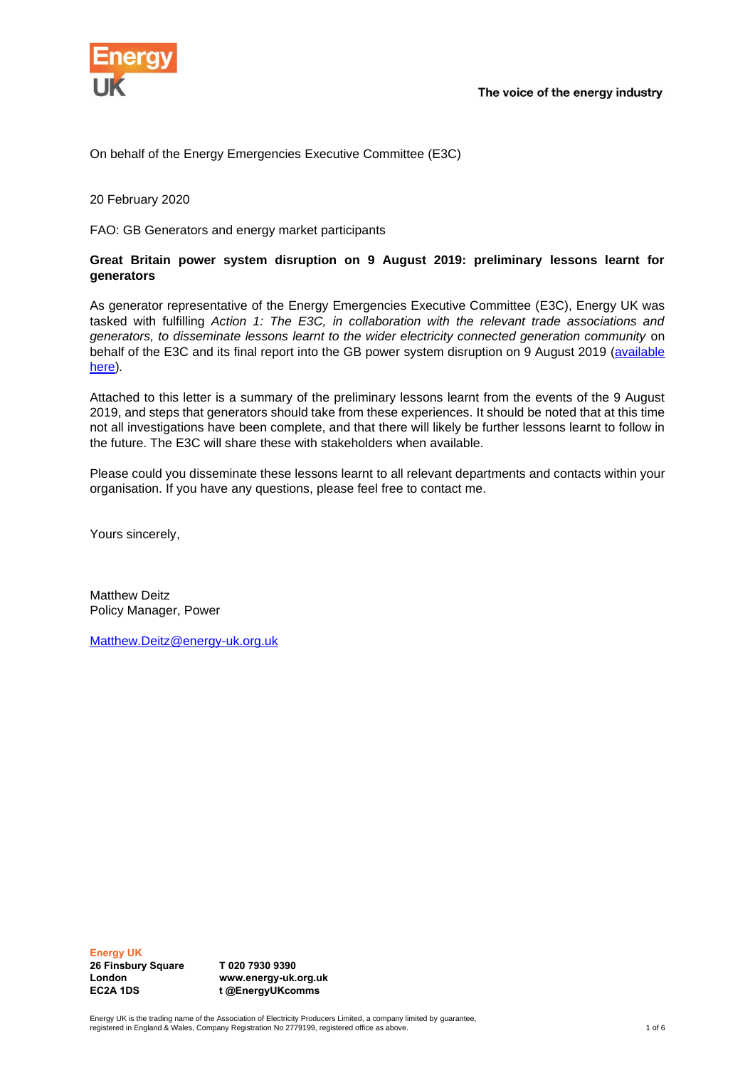

On behalf of the Energy Emergencies Executive Committee (E3C)

20 February 2020

FAO: GB Generators and energy market participants

### **Great Britain power system disruption on 9 August 2019: preliminary lessons learnt for generators**

As generator representative of the Energy Emergencies Executive Committee (E3C), Energy UK was tasked with fulfilling *Action 1: The E3C, in collaboration with the relevant trade associations and generators, to disseminate lessons learnt to the wider electricity connected generation community* on behalf of the E3C and its final report into the GB power system disruption on 9 August 2019 [\(available](https://assets.publishing.service.gov.uk/government/uploads/system/uploads/attachment_data/file/855767/e3c-gb-power-disruption-9-august-2019-final-report.pdf)  [here\)](https://assets.publishing.service.gov.uk/government/uploads/system/uploads/attachment_data/file/855767/e3c-gb-power-disruption-9-august-2019-final-report.pdf)*.*

Attached to this letter is a summary of the preliminary lessons learnt from the events of the 9 August 2019, and steps that generators should take from these experiences. It should be noted that at this time not all investigations have been complete, and that there will likely be further lessons learnt to follow in the future. The E3C will share these with stakeholders when available.

Please could you disseminate these lessons learnt to all relevant departments and contacts within your organisation. If you have any questions, please feel free to contact me.

Yours sincerely,

Matthew Deitz Policy Manager, Power

[Matthew.Deitz@energy-uk.org.uk](mailto:Matthew.Deitz@energy-uk.org.uk)

**Energy UK**

**26 Finsbury Square London EC2A 1DS**

**T 020 7930 9390 www.energy-uk.org.uk t @EnergyUKcomms**

Energy UK is the trading name of the Association of Electricity Producers Limited, a company limited by guarantee,<br>registered in England & Wales, Company Registration No 2779199, registered office as above.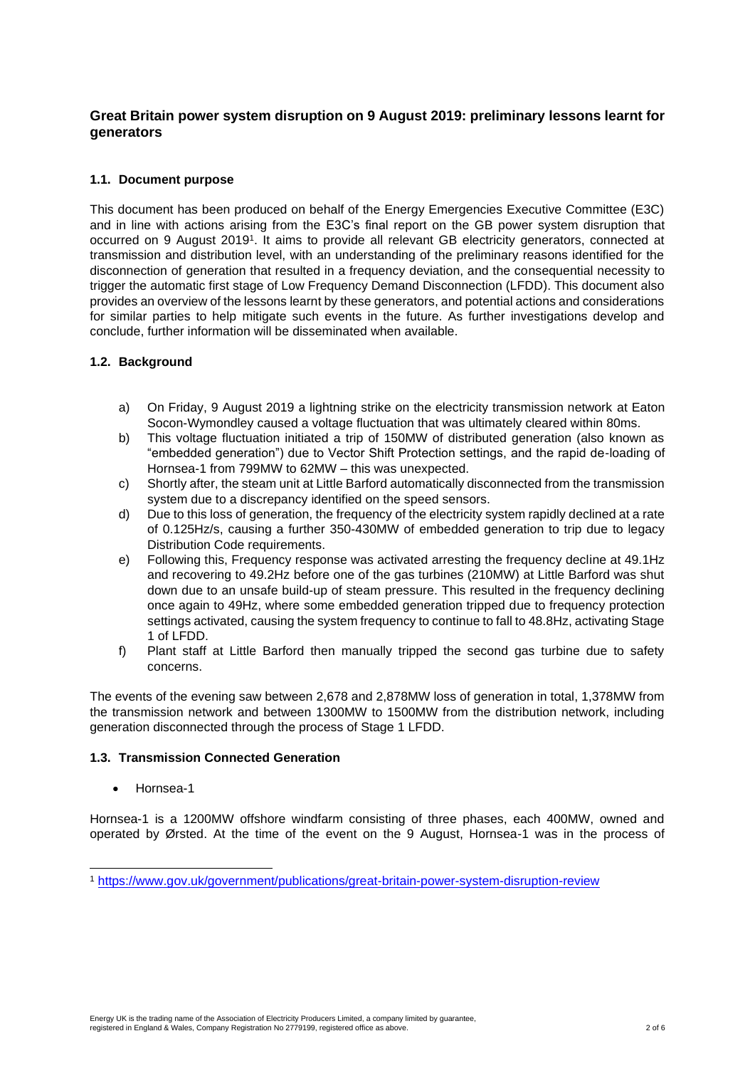# **Great Britain power system disruption on 9 August 2019: preliminary lessons learnt for generators**

## **1.1. Document purpose**

This document has been produced on behalf of the Energy Emergencies Executive Committee (E3C) and in line with actions arising from the E3C's final report on the GB power system disruption that occurred on 9 August 2019<sup>1</sup>. It aims to provide all relevant GB electricity generators, connected at transmission and distribution level, with an understanding of the preliminary reasons identified for the disconnection of generation that resulted in a frequency deviation, and the consequential necessity to trigger the automatic first stage of Low Frequency Demand Disconnection (LFDD). This document also provides an overview of the lessons learnt by these generators, and potential actions and considerations for similar parties to help mitigate such events in the future. As further investigations develop and conclude, further information will be disseminated when available.

### **1.2. Background**

- a) On Friday, 9 August 2019 a lightning strike on the electricity transmission network at Eaton Socon-Wymondley caused a voltage fluctuation that was ultimately cleared within 80ms.
- b) This voltage fluctuation initiated a trip of 150MW of distributed generation (also known as "embedded generation") due to Vector Shift Protection settings, and the rapid de-loading of Hornsea-1 from 799MW to 62MW – this was unexpected.
- c) Shortly after, the steam unit at Little Barford automatically disconnected from the transmission system due to a discrepancy identified on the speed sensors.
- d) Due to this loss of generation, the frequency of the electricity system rapidly declined at a rate of 0.125Hz/s, causing a further 350-430MW of embedded generation to trip due to legacy Distribution Code requirements.
- e) Following this, Frequency response was activated arresting the frequency decline at 49.1Hz and recovering to 49.2Hz before one of the gas turbines (210MW) at Little Barford was shut down due to an unsafe build-up of steam pressure. This resulted in the frequency declining once again to 49Hz, where some embedded generation tripped due to frequency protection settings activated, causing the system frequency to continue to fall to 48.8Hz, activating Stage 1 of LFDD.
- f) Plant staff at Little Barford then manually tripped the second gas turbine due to safety concerns.

The events of the evening saw between 2,678 and 2,878MW loss of generation in total, 1,378MW from the transmission network and between 1300MW to 1500MW from the distribution network, including generation disconnected through the process of Stage 1 LFDD.

### **1.3. Transmission Connected Generation**

• Hornsea-1

Hornsea-1 is a 1200MW offshore windfarm consisting of three phases, each 400MW, owned and operated by Ørsted. At the time of the event on the 9 August, Hornsea-1 was in the process of

<sup>1</sup> <https://www.gov.uk/government/publications/great-britain-power-system-disruption-review>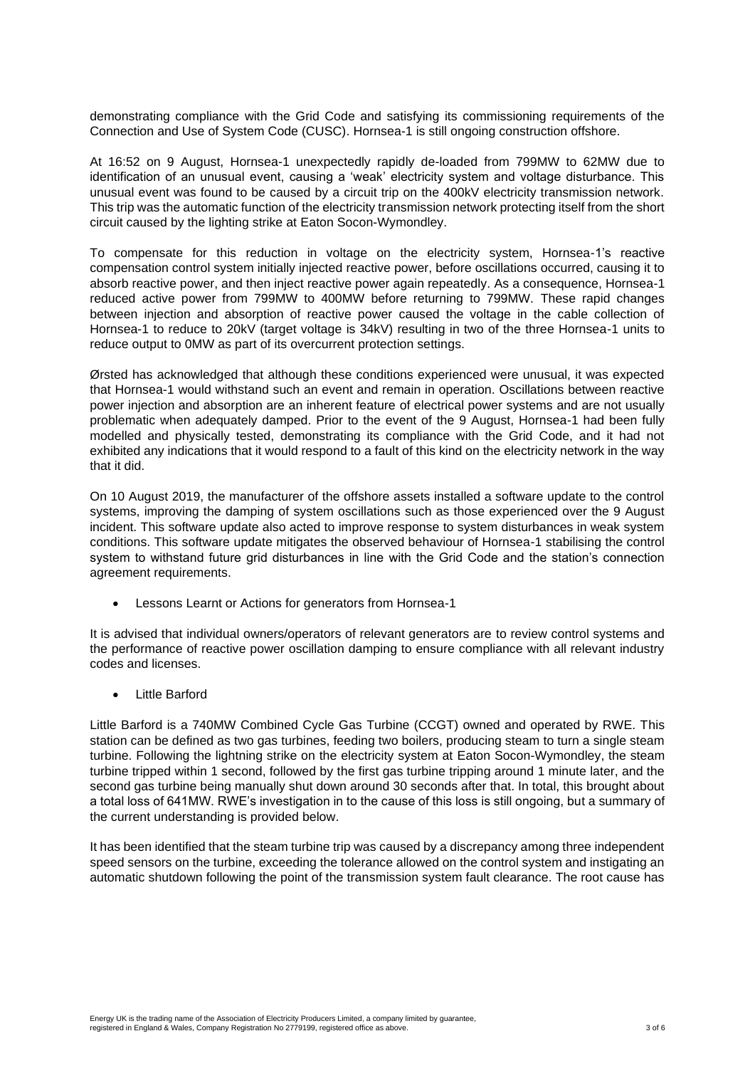demonstrating compliance with the Grid Code and satisfying its commissioning requirements of the Connection and Use of System Code (CUSC). Hornsea-1 is still ongoing construction offshore.

At 16:52 on 9 August, Hornsea-1 unexpectedly rapidly de-loaded from 799MW to 62MW due to identification of an unusual event, causing a 'weak' electricity system and voltage disturbance. This unusual event was found to be caused by a circuit trip on the 400kV electricity transmission network. This trip was the automatic function of the electricity transmission network protecting itself from the short circuit caused by the lighting strike at Eaton Socon-Wymondley.

To compensate for this reduction in voltage on the electricity system, Hornsea-1's reactive compensation control system initially injected reactive power, before oscillations occurred, causing it to absorb reactive power, and then inject reactive power again repeatedly. As a consequence, Hornsea-1 reduced active power from 799MW to 400MW before returning to 799MW. These rapid changes between injection and absorption of reactive power caused the voltage in the cable collection of Hornsea-1 to reduce to 20kV (target voltage is 34kV) resulting in two of the three Hornsea-1 units to reduce output to 0MW as part of its overcurrent protection settings.

Ørsted has acknowledged that although these conditions experienced were unusual, it was expected that Hornsea-1 would withstand such an event and remain in operation. Oscillations between reactive power injection and absorption are an inherent feature of electrical power systems and are not usually problematic when adequately damped. Prior to the event of the 9 August, Hornsea-1 had been fully modelled and physically tested, demonstrating its compliance with the Grid Code, and it had not exhibited any indications that it would respond to a fault of this kind on the electricity network in the way that it did.

On 10 August 2019, the manufacturer of the offshore assets installed a software update to the control systems, improving the damping of system oscillations such as those experienced over the 9 August incident. This software update also acted to improve response to system disturbances in weak system conditions. This software update mitigates the observed behaviour of Hornsea-1 stabilising the control system to withstand future grid disturbances in line with the Grid Code and the station's connection agreement requirements.

• Lessons Learnt or Actions for generators from Hornsea-1

It is advised that individual owners/operators of relevant generators are to review control systems and the performance of reactive power oscillation damping to ensure compliance with all relevant industry codes and licenses.

**Little Barford** 

Little Barford is a 740MW Combined Cycle Gas Turbine (CCGT) owned and operated by RWE. This station can be defined as two gas turbines, feeding two boilers, producing steam to turn a single steam turbine. Following the lightning strike on the electricity system at Eaton Socon-Wymondley, the steam turbine tripped within 1 second, followed by the first gas turbine tripping around 1 minute later, and the second gas turbine being manually shut down around 30 seconds after that. In total, this brought about a total loss of 641MW. RWE's investigation in to the cause of this loss is still ongoing, but a summary of the current understanding is provided below.

It has been identified that the steam turbine trip was caused by a discrepancy among three independent speed sensors on the turbine, exceeding the tolerance allowed on the control system and instigating an automatic shutdown following the point of the transmission system fault clearance. The root cause has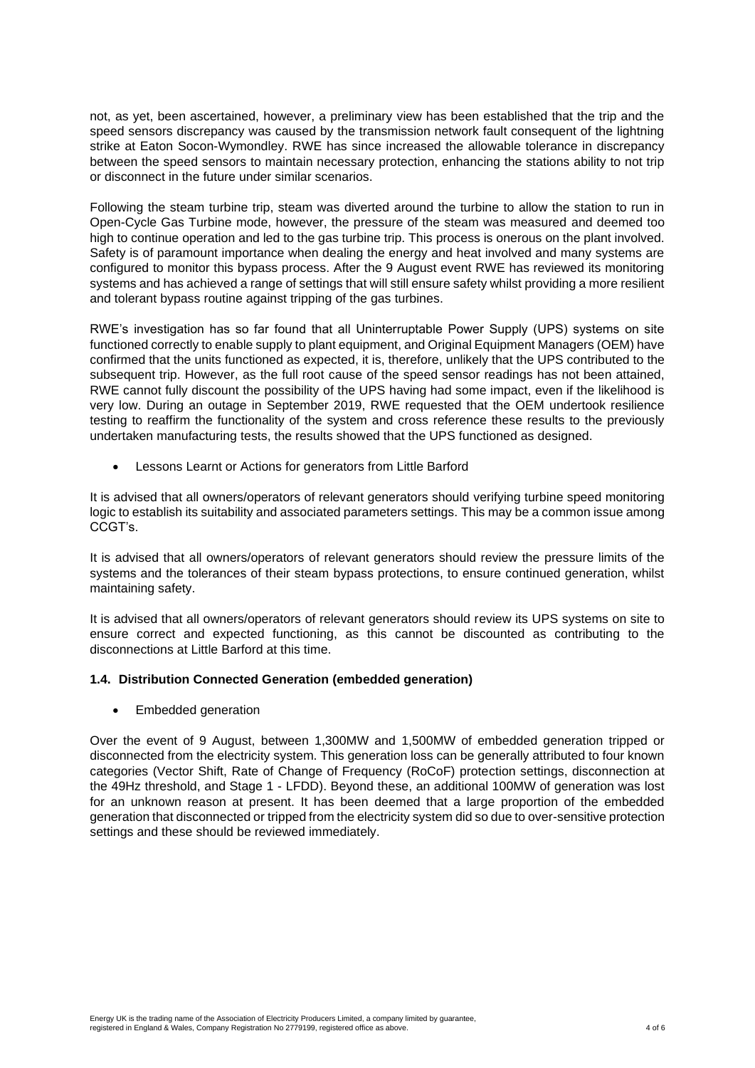not, as yet, been ascertained, however, a preliminary view has been established that the trip and the speed sensors discrepancy was caused by the transmission network fault consequent of the lightning strike at Eaton Socon-Wymondley. RWE has since increased the allowable tolerance in discrepancy between the speed sensors to maintain necessary protection, enhancing the stations ability to not trip or disconnect in the future under similar scenarios.

Following the steam turbine trip, steam was diverted around the turbine to allow the station to run in Open-Cycle Gas Turbine mode, however, the pressure of the steam was measured and deemed too high to continue operation and led to the gas turbine trip. This process is onerous on the plant involved. Safety is of paramount importance when dealing the energy and heat involved and many systems are configured to monitor this bypass process. After the 9 August event RWE has reviewed its monitoring systems and has achieved a range of settings that will still ensure safety whilst providing a more resilient and tolerant bypass routine against tripping of the gas turbines.

RWE's investigation has so far found that all Uninterruptable Power Supply (UPS) systems on site functioned correctly to enable supply to plant equipment, and Original Equipment Managers (OEM) have confirmed that the units functioned as expected, it is, therefore, unlikely that the UPS contributed to the subsequent trip. However, as the full root cause of the speed sensor readings has not been attained, RWE cannot fully discount the possibility of the UPS having had some impact, even if the likelihood is very low. During an outage in September 2019, RWE requested that the OEM undertook resilience testing to reaffirm the functionality of the system and cross reference these results to the previously undertaken manufacturing tests, the results showed that the UPS functioned as designed.

• Lessons Learnt or Actions for generators from Little Barford

It is advised that all owners/operators of relevant generators should verifying turbine speed monitoring logic to establish its suitability and associated parameters settings. This may be a common issue among CCGT's.

It is advised that all owners/operators of relevant generators should review the pressure limits of the systems and the tolerances of their steam bypass protections, to ensure continued generation, whilst maintaining safety.

It is advised that all owners/operators of relevant generators should review its UPS systems on site to ensure correct and expected functioning, as this cannot be discounted as contributing to the disconnections at Little Barford at this time.

### **1.4. Distribution Connected Generation (embedded generation)**

• Embedded generation

Over the event of 9 August, between 1,300MW and 1,500MW of embedded generation tripped or disconnected from the electricity system. This generation loss can be generally attributed to four known categories (Vector Shift, Rate of Change of Frequency (RoCoF) protection settings, disconnection at the 49Hz threshold, and Stage 1 - LFDD). Beyond these, an additional 100MW of generation was lost for an unknown reason at present. It has been deemed that a large proportion of the embedded generation that disconnected or tripped from the electricity system did so due to over-sensitive protection settings and these should be reviewed immediately.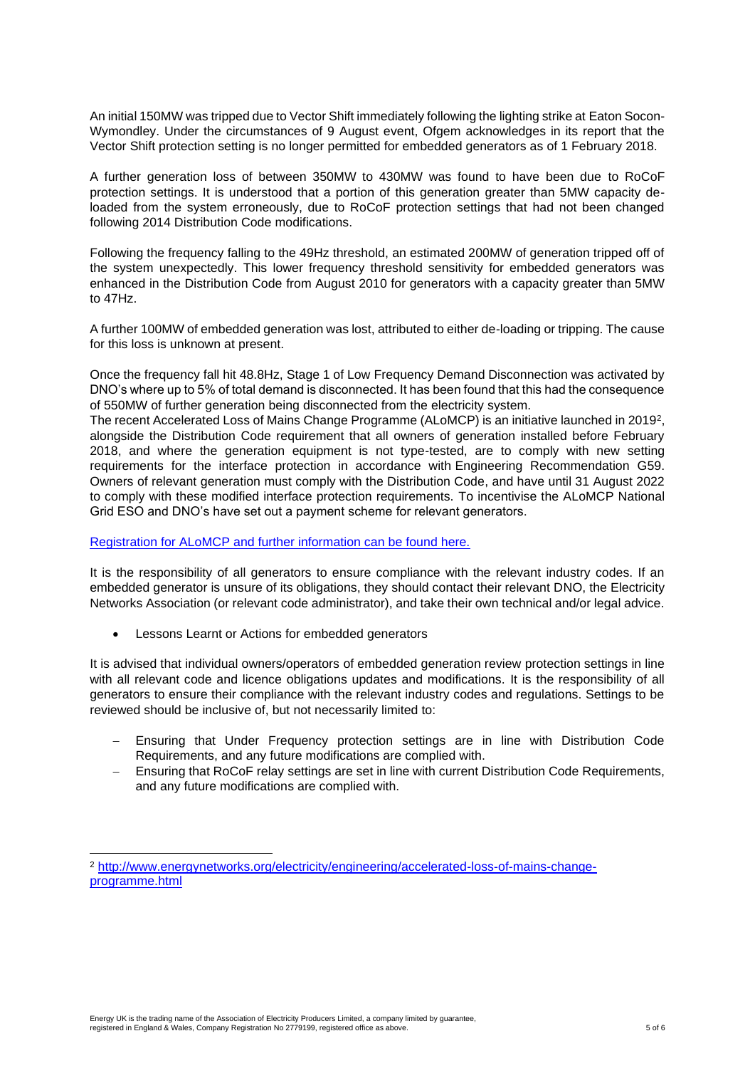An initial 150MW was tripped due to Vector Shift immediately following the lighting strike at Eaton Socon-Wymondley. Under the circumstances of 9 August event, Ofgem acknowledges in its report that the Vector Shift protection setting is no longer permitted for embedded generators as of 1 February 2018.

A further generation loss of between 350MW to 430MW was found to have been due to RoCoF protection settings. It is understood that a portion of this generation greater than 5MW capacity deloaded from the system erroneously, due to RoCoF protection settings that had not been changed following 2014 Distribution Code modifications.

Following the frequency falling to the 49Hz threshold, an estimated 200MW of generation tripped off of the system unexpectedly. This lower frequency threshold sensitivity for embedded generators was enhanced in the Distribution Code from August 2010 for generators with a capacity greater than 5MW to 47Hz.

A further 100MW of embedded generation was lost, attributed to either de-loading or tripping. The cause for this loss is unknown at present.

Once the frequency fall hit 48.8Hz, Stage 1 of Low Frequency Demand Disconnection was activated by DNO's where up to 5% of total demand is disconnected. It has been found that this had the consequence of 550MW of further generation being disconnected from the electricity system.

The recent Accelerated Loss of Mains Change Programme (ALoMCP) is an initiative launched in 2019 $^{\rm 2}$ , alongside the Distribution Code requirement that all owners of generation installed before February 2018, and where the generation equipment is not type-tested, are to comply with new setting requirements for the interface protection in accordance with Engineering Recommendation G59. Owners of relevant generation must comply with the Distribution Code, and have until 31 August 2022 to comply with these modified interface protection requirements. To incentivise the ALoMCP National Grid ESO and DNO's have set out a payment scheme for relevant generators.

### [Registration for ALoMCP and further information can be found here.](https://www.ena-eng.org/ALoMCP/)

It is the responsibility of all generators to ensure compliance with the relevant industry codes. If an embedded generator is unsure of its obligations, they should contact their relevant DNO, the Electricity Networks Association (or relevant code administrator), and take their own technical and/or legal advice.

• Lessons Learnt or Actions for embedded generators

It is advised that individual owners/operators of embedded generation review protection settings in line with all relevant code and licence obligations updates and modifications. It is the responsibility of all generators to ensure their compliance with the relevant industry codes and regulations. Settings to be reviewed should be inclusive of, but not necessarily limited to:

- − Ensuring that Under Frequency protection settings are in line with Distribution Code Requirements, and any future modifications are complied with.
- − Ensuring that RoCoF relay settings are set in line with current Distribution Code Requirements, and any future modifications are complied with.

<sup>2</sup> [http://www.energynetworks.org/electricity/engineering/accelerated-loss-of-mains-change](http://www.energynetworks.org/electricity/engineering/accelerated-loss-of-mains-change-programme.html)[programme.html](http://www.energynetworks.org/electricity/engineering/accelerated-loss-of-mains-change-programme.html)